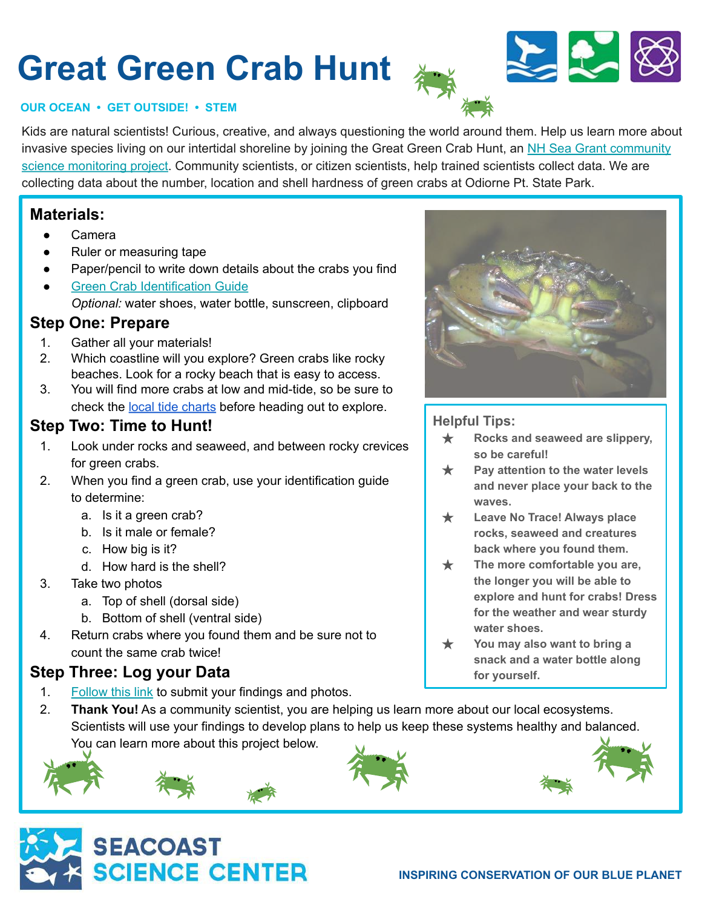# **Great Green Crab Hunt**



#### **OUR OCEAN • GET OUTSIDE! • STEM**

Kids are natural scientists! Curious, creative, and always questioning the world around them. Help us learn more about invasive species living on our intertidal shoreline by joining the Great Green Crab Hunt, an [NH Sea Grant community](https://seagrant.unh.edu/nh-green-crab-project) [science monitoring project.](https://seagrant.unh.edu/nh-green-crab-project) Community scientists, or citizen scientists, help trained scientists collect data. We are collecting data about the number, location and shell hardness of green crabs at Odiorne Pt. State Park.

#### **Materials:**

- **Camera**
- Ruler or measuring tape
- Paper/pencil to write down details about the crabs you find
- **[Green Crab Identification Guide](https://seagrant.unh.edu/sites/seagrant.unh.edu/files/media/pdfs/extension/green_crab_monitoring_2017.pdf)** *Optional:* water shoes, water bottle, sunscreen, clipboard

#### **Step One: Prepare**

- 1. Gather all your materials!
- 2. Which coastline will you explore? Green crabs like rocky beaches. Look for a rocky beach that is easy to access.
- 3. You will find more crabs at low and mid-tide, so be sure to check the [local tide charts](https://tidesandcurrents.noaa.gov/noaatidepredictions.html?id=8424601&legacy=1) before heading out to explore.

#### **Step Two: Time to Hunt!**

- 1. Look under rocks and seaweed, and between rocky crevices for green crabs.
- 2. When you find a green crab, use your identification guide to determine:
	- a. Is it a green crab?
	- b. Is it male or female?
	- c. How big is it?
	- d. How hard is the shell?
- 3. Take two photos
	- a. Top of shell (dorsal side)
	- b. Bottom of shell (ventral side)
- 4. Return crabs where you found them and be sure not to count the same crab twice!

#### **Step Three: Log your Data**

- 1. [Follow this link](https://survey123.arcgis.com/share/cf8e11f159ec4ee08e2270f5920c3290) to submit your findings and photos.
- 2. **Thank You!** As a community scientist, you are helping us learn more about our local ecosystems. Scientists will use your findings to develop plans to help us keep these systems healthy and balanced. You can learn more about this project below.





#### **Helpful Tips:**

- ★ **Rocks and seaweed are slippery, so be careful!**
- ★ **Pay attention to the water levels and never place your back to the waves.**
- ★ **Leave No Trace! Always place rocks, seaweed and creatures back where you found them.**
- ★ **The more comfortable you are, the longer you will be able to explore and hunt for crabs! Dress for the weather and wear sturdy water shoes.**
- You may also want to bring a **snack and a water bottle along for yourself.**